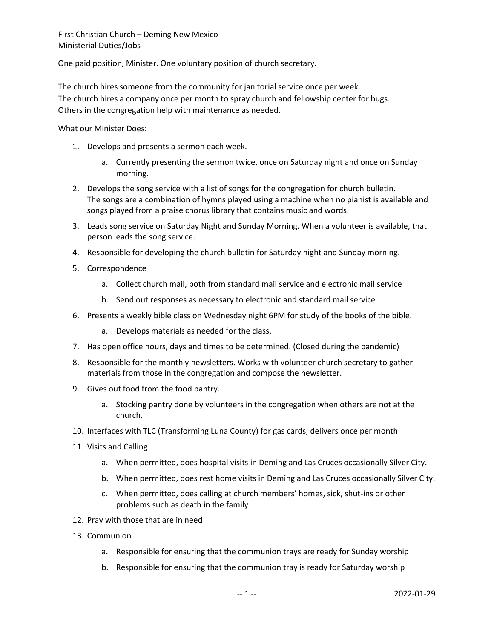One paid position, Minister. One voluntary position of church secretary.

The church hires someone from the community for janitorial service once per week. The church hires a company once per month to spray church and fellowship center for bugs. Others in the congregation help with maintenance as needed.

What our Minister Does:

- 1. Develops and presents a sermon each week.
	- a. Currently presenting the sermon twice, once on Saturday night and once on Sunday morning.
- 2. Develops the song service with a list of songs for the congregation for church bulletin. The songs are a combination of hymns played using a machine when no pianist is available and songs played from a praise chorus library that contains music and words.
- 3. Leads song service on Saturday Night and Sunday Morning. When a volunteer is available, that person leads the song service.
- 4. Responsible for developing the church bulletin for Saturday night and Sunday morning.
- 5. Correspondence
	- a. Collect church mail, both from standard mail service and electronic mail service
	- b. Send out responses as necessary to electronic and standard mail service
- 6. Presents a weekly bible class on Wednesday night 6PM for study of the books of the bible.
	- a. Develops materials as needed for the class.
- 7. Has open office hours, days and times to be determined. (Closed during the pandemic)
- 8. Responsible for the monthly newsletters. Works with volunteer church secretary to gather materials from those in the congregation and compose the newsletter.
- 9. Gives out food from the food pantry.
	- a. Stocking pantry done by volunteers in the congregation when others are not at the church.
- 10. Interfaces with TLC (Transforming Luna County) for gas cards, delivers once per month
- 11. Visits and Calling
	- a. When permitted, does hospital visits in Deming and Las Cruces occasionally Silver City.
	- b. When permitted, does rest home visits in Deming and Las Cruces occasionally Silver City.
	- c. When permitted, does calling at church members' homes, sick, shut-ins or other problems such as death in the family
- 12. Pray with those that are in need
- 13. Communion
	- a. Responsible for ensuring that the communion trays are ready for Sunday worship
	- b. Responsible for ensuring that the communion tray is ready for Saturday worship